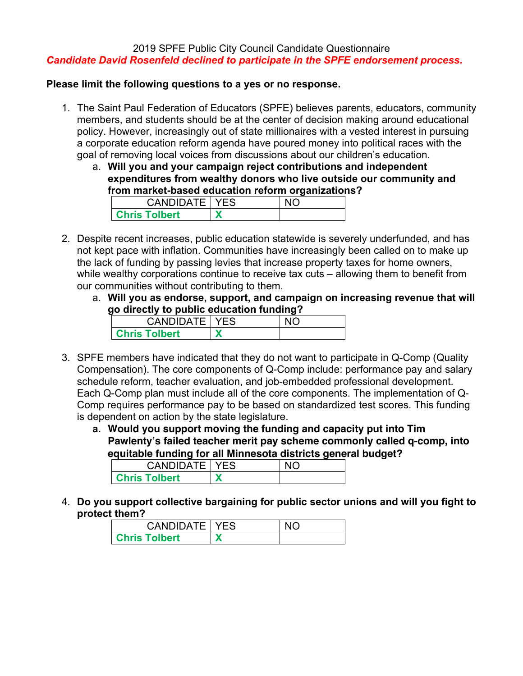# 2019 SPFE Public City Council Candidate Questionnaire *Candidate David Rosenfeld declined to participate in the SPFE endorsement process.*

### **Please limit the following questions to a yes or no response.**

- 1. The Saint Paul Federation of Educators (SPFE) believes parents, educators, community members, and students should be at the center of decision making around educational policy. However, increasingly out of state millionaires with a vested interest in pursuing a corporate education reform agenda have poured money into political races with the goal of removing local voices from discussions about our children's education.
	- a. **Will you and your campaign reject contributions and independent expenditures from wealthy donors who live outside our community and from market-based education reform organizations?**

| <b>CANDIDATE   YES</b> |  |
|------------------------|--|
| <b>Chris Tolbert</b>   |  |

- 2. Despite recent increases, public education statewide is severely underfunded, and has not kept pace with inflation. Communities have increasingly been called on to make up the lack of funding by passing levies that increase property taxes for home owners, while wealthy corporations continue to receive tax cuts – allowing them to benefit from our communities without contributing to them.
	- a. **Will you as endorse, support, and campaign on increasing revenue that will go directly to public education funding?**

| CANDIDATE   YES      |  |
|----------------------|--|
| <b>Chris Tolbert</b> |  |

- 3. SPFE members have indicated that they do not want to participate in Q-Comp (Quality Compensation). The core components of Q-Comp include: performance pay and salary schedule reform, teacher evaluation, and job-embedded professional development. Each Q-Comp plan must include all of the core components. The implementation of Q-Comp requires performance pay to be based on standardized test scores. This funding is dependent on action by the state legislature.
	- **a. Would you support moving the funding and capacity put into Tim Pawlenty's failed teacher merit pay scheme commonly called q-comp, into equitable funding for all Minnesota districts general budget?**

| -                      |  |
|------------------------|--|
| <b>CANDIDATE   YES</b> |  |
| <b>Chris Tolbert</b>   |  |

4. **Do you support collective bargaining for public sector unions and will you fight to protect them?**

| <b>CANDIDATE   YES</b> |  |
|------------------------|--|
| <b>Chris Tolbert</b>   |  |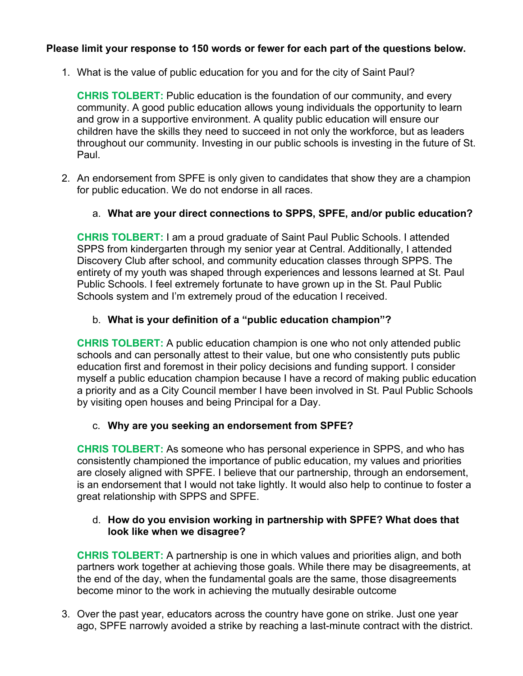# **Please limit your response to 150 words or fewer for each part of the questions below.**

1. What is the value of public education for you and for the city of Saint Paul?

**CHRIS TOLBERT:** Public education is the foundation of our community, and every community. A good public education allows young individuals the opportunity to learn and grow in a supportive environment. A quality public education will ensure our children have the skills they need to succeed in not only the workforce, but as leaders throughout our community. Investing in our public schools is investing in the future of St. Paul.

2. An endorsement from SPFE is only given to candidates that show they are a champion for public education. We do not endorse in all races.

# a. **What are your direct connections to SPPS, SPFE, and/or public education?**

**CHRIS TOLBERT:** I am a proud graduate of Saint Paul Public Schools. I attended SPPS from kindergarten through my senior year at Central. Additionally, I attended Discovery Club after school, and community education classes through SPPS. The entirety of my youth was shaped through experiences and lessons learned at St. Paul Public Schools. I feel extremely fortunate to have grown up in the St. Paul Public Schools system and I'm extremely proud of the education I received.

# b. **What is your definition of a "public education champion"?**

**CHRIS TOLBERT:** A public education champion is one who not only attended public schools and can personally attest to their value, but one who consistently puts public education first and foremost in their policy decisions and funding support. I consider myself a public education champion because I have a record of making public education a priority and as a City Council member I have been involved in St. Paul Public Schools by visiting open houses and being Principal for a Day.

### c. **Why are you seeking an endorsement from SPFE?**

**CHRIS TOLBERT:** As someone who has personal experience in SPPS, and who has consistently championed the importance of public education, my values and priorities are closely aligned with SPFE. I believe that our partnership, through an endorsement, is an endorsement that I would not take lightly. It would also help to continue to foster a great relationship with SPPS and SPFE.

### d. **How do you envision working in partnership with SPFE? What does that look like when we disagree?**

**CHRIS TOLBERT:** A partnership is one in which values and priorities align, and both partners work together at achieving those goals. While there may be disagreements, at the end of the day, when the fundamental goals are the same, those disagreements become minor to the work in achieving the mutually desirable outcome

3. Over the past year, educators across the country have gone on strike. Just one year ago, SPFE narrowly avoided a strike by reaching a last-minute contract with the district.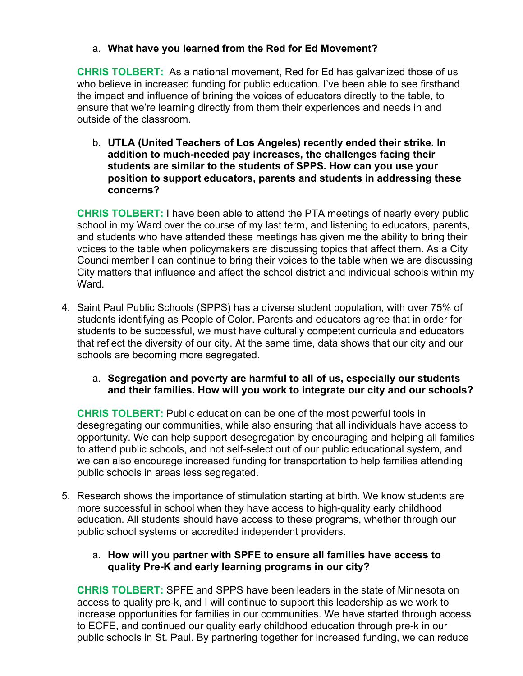# a. **What have you learned from the Red for Ed Movement?**

**CHRIS TOLBERT:** As a national movement, Red for Ed has galvanized those of us who believe in increased funding for public education. I've been able to see firsthand the impact and influence of brining the voices of educators directly to the table, to ensure that we're learning directly from them their experiences and needs in and outside of the classroom.

b. **UTLA (United Teachers of Los Angeles) recently ended their strike. In addition to much-needed pay increases, the challenges facing their students are similar to the students of SPPS. How can you use your position to support educators, parents and students in addressing these concerns?**

**CHRIS TOLBERT:** I have been able to attend the PTA meetings of nearly every public school in my Ward over the course of my last term, and listening to educators, parents, and students who have attended these meetings has given me the ability to bring their voices to the table when policymakers are discussing topics that affect them. As a City Councilmember I can continue to bring their voices to the table when we are discussing City matters that influence and affect the school district and individual schools within my Ward.

- 4. Saint Paul Public Schools (SPPS) has a diverse student population, with over 75% of students identifying as People of Color. Parents and educators agree that in order for students to be successful, we must have culturally competent curricula and educators that reflect the diversity of our city. At the same time, data shows that our city and our schools are becoming more segregated.
	- a. **Segregation and poverty are harmful to all of us, especially our students and their families. How will you work to integrate our city and our schools?**

**CHRIS TOLBERT:** Public education can be one of the most powerful tools in desegregating our communities, while also ensuring that all individuals have access to opportunity. We can help support desegregation by encouraging and helping all families to attend public schools, and not self-select out of our public educational system, and we can also encourage increased funding for transportation to help families attending public schools in areas less segregated.

5. Research shows the importance of stimulation starting at birth. We know students are more successful in school when they have access to high-quality early childhood education. All students should have access to these programs, whether through our public school systems or accredited independent providers.

### a. **How will you partner with SPFE to ensure all families have access to quality Pre-K and early learning programs in our city?**

**CHRIS TOLBERT:** SPFE and SPPS have been leaders in the state of Minnesota on access to quality pre-k, and I will continue to support this leadership as we work to increase opportunities for families in our communities. We have started through access to ECFE, and continued our quality early childhood education through pre-k in our public schools in St. Paul. By partnering together for increased funding, we can reduce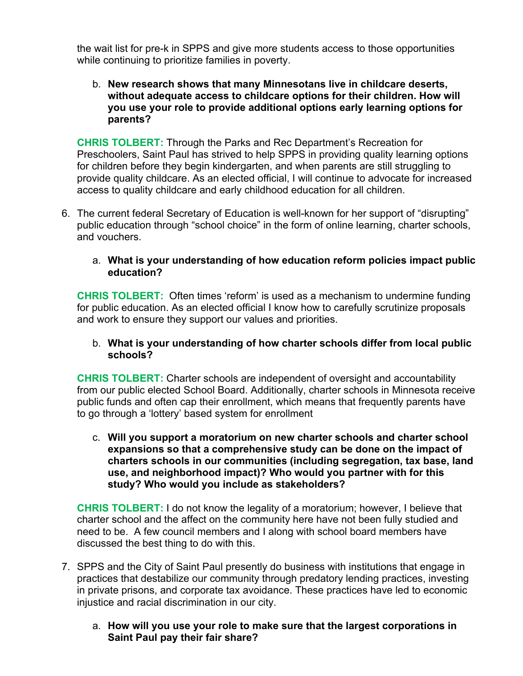the wait list for pre-k in SPPS and give more students access to those opportunities while continuing to prioritize families in poverty.

### b. **New research shows that many Minnesotans live in childcare deserts, without adequate access to childcare options for their children. How will you use your role to provide additional options early learning options for parents?**

**CHRIS TOLBERT:** Through the Parks and Rec Department's Recreation for Preschoolers, Saint Paul has strived to help SPPS in providing quality learning options for children before they begin kindergarten, and when parents are still struggling to provide quality childcare. As an elected official, I will continue to advocate for increased access to quality childcare and early childhood education for all children.

6. The current federal Secretary of Education is well-known for her support of "disrupting" public education through "school choice" in the form of online learning, charter schools, and vouchers.

# a. **What is your understanding of how education reform policies impact public education?**

**CHRIS TOLBERT:** Often times 'reform' is used as a mechanism to undermine funding for public education. As an elected official I know how to carefully scrutinize proposals and work to ensure they support our values and priorities.

# b. **What is your understanding of how charter schools differ from local public schools?**

**CHRIS TOLBERT:** Charter schools are independent of oversight and accountability from our public elected School Board. Additionally, charter schools in Minnesota receive public funds and often cap their enrollment, which means that frequently parents have to go through a 'lottery' based system for enrollment

c. **Will you support a moratorium on new charter schools and charter school expansions so that a comprehensive study can be done on the impact of charters schools in our communities (including segregation, tax base, land use, and neighborhood impact)? Who would you partner with for this study? Who would you include as stakeholders?**

**CHRIS TOLBERT:** I do not know the legality of a moratorium; however, I believe that charter school and the affect on the community here have not been fully studied and need to be. A few council members and I along with school board members have discussed the best thing to do with this.

- 7. SPPS and the City of Saint Paul presently do business with institutions that engage in practices that destabilize our community through predatory lending practices, investing in private prisons, and corporate tax avoidance. These practices have led to economic injustice and racial discrimination in our city.
	- a. **How will you use your role to make sure that the largest corporations in Saint Paul pay their fair share?**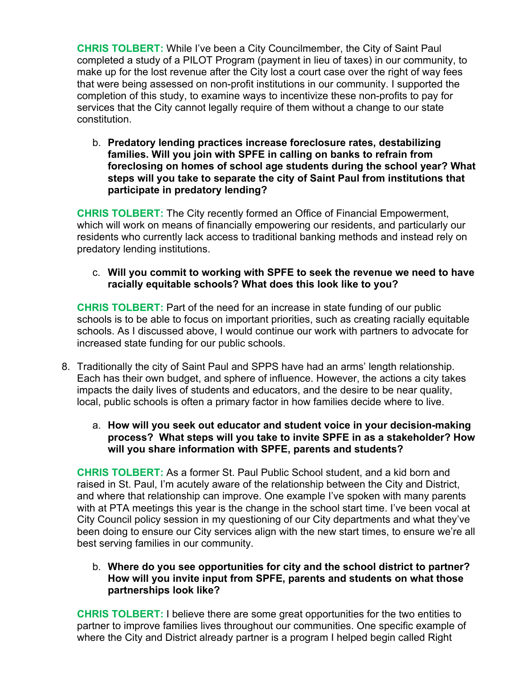**CHRIS TOLBERT:** While I've been a City Councilmember, the City of Saint Paul completed a study of a PILOT Program (payment in lieu of taxes) in our community, to make up for the lost revenue after the City lost a court case over the right of way fees that were being assessed on non-profit institutions in our community. I supported the completion of this study, to examine ways to incentivize these non-profits to pay for services that the City cannot legally require of them without a change to our state constitution.

b. **Predatory lending practices increase foreclosure rates, destabilizing families. Will you join with SPFE in calling on banks to refrain from foreclosing on homes of school age students during the school year? What steps will you take to separate the city of Saint Paul from institutions that participate in predatory lending?**

**CHRIS TOLBERT:** The City recently formed an Office of Financial Empowerment, which will work on means of financially empowering our residents, and particularly our residents who currently lack access to traditional banking methods and instead rely on predatory lending institutions.

### c. **Will you commit to working with SPFE to seek the revenue we need to have racially equitable schools? What does this look like to you?**

**CHRIS TOLBERT:** Part of the need for an increase in state funding of our public schools is to be able to focus on important priorities, such as creating racially equitable schools. As I discussed above, I would continue our work with partners to advocate for increased state funding for our public schools.

- 8. Traditionally the city of Saint Paul and SPPS have had an arms' length relationship. Each has their own budget, and sphere of influence. However, the actions a city takes impacts the daily lives of students and educators, and the desire to be near quality, local, public schools is often a primary factor in how families decide where to live.
	- a. **How will you seek out educator and student voice in your decision-making process? What steps will you take to invite SPFE in as a stakeholder? How will you share information with SPFE, parents and students?**

**CHRIS TOLBERT:** As a former St. Paul Public School student, and a kid born and raised in St. Paul, I'm acutely aware of the relationship between the City and District, and where that relationship can improve. One example I've spoken with many parents with at PTA meetings this year is the change in the school start time. I've been vocal at City Council policy session in my questioning of our City departments and what they've been doing to ensure our City services align with the new start times, to ensure we're all best serving families in our community.

### b. **Where do you see opportunities for city and the school district to partner? How will you invite input from SPFE, parents and students on what those partnerships look like?**

**CHRIS TOLBERT:** I believe there are some great opportunities for the two entities to partner to improve families lives throughout our communities. One specific example of where the City and District already partner is a program I helped begin called Right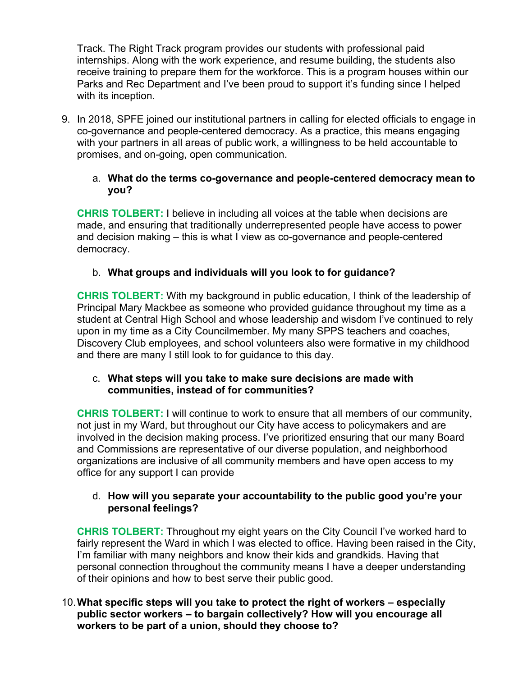Track. The Right Track program provides our students with professional paid internships. Along with the work experience, and resume building, the students also receive training to prepare them for the workforce. This is a program houses within our Parks and Rec Department and I've been proud to support it's funding since I helped with its inception.

9. In 2018, SPFE joined our institutional partners in calling for elected officials to engage in co-governance and people-centered democracy. As a practice, this means engaging with your partners in all areas of public work, a willingness to be held accountable to promises, and on-going, open communication.

### a. **What do the terms co-governance and people-centered democracy mean to you?**

**CHRIS TOLBERT:** I believe in including all voices at the table when decisions are made, and ensuring that traditionally underrepresented people have access to power and decision making – this is what I view as co-governance and people-centered democracy.

# b. **What groups and individuals will you look to for guidance?**

**CHRIS TOLBERT:** With my background in public education, I think of the leadership of Principal Mary Mackbee as someone who provided guidance throughout my time as a student at Central High School and whose leadership and wisdom I've continued to rely upon in my time as a City Councilmember. My many SPPS teachers and coaches, Discovery Club employees, and school volunteers also were formative in my childhood and there are many I still look to for guidance to this day.

# c. **What steps will you take to make sure decisions are made with communities, instead of for communities?**

**CHRIS TOLBERT:** I will continue to work to ensure that all members of our community, not just in my Ward, but throughout our City have access to policymakers and are involved in the decision making process. I've prioritized ensuring that our many Board and Commissions are representative of our diverse population, and neighborhood organizations are inclusive of all community members and have open access to my office for any support I can provide

# d. **How will you separate your accountability to the public good you're your personal feelings?**

**CHRIS TOLBERT:** Throughout my eight years on the City Council I've worked hard to fairly represent the Ward in which I was elected to office. Having been raised in the City, I'm familiar with many neighbors and know their kids and grandkids. Having that personal connection throughout the community means I have a deeper understanding of their opinions and how to best serve their public good.

# 10.**What specific steps will you take to protect the right of workers – especially public sector workers – to bargain collectively? How will you encourage all workers to be part of a union, should they choose to?**